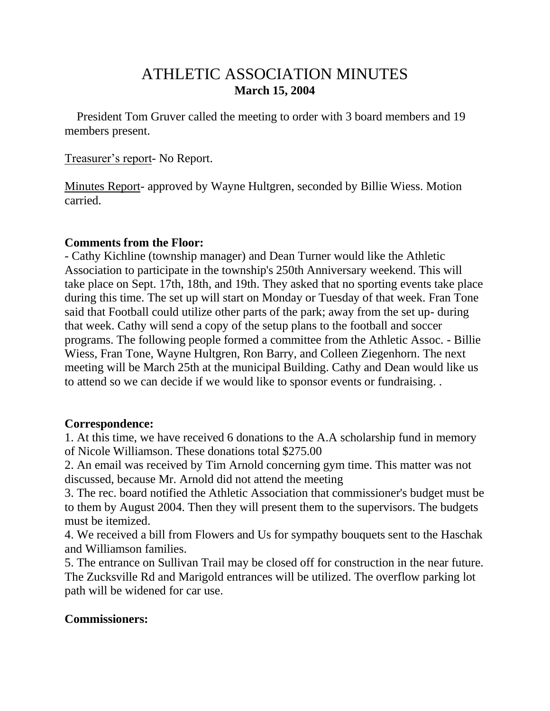# ATHLETIC ASSOCIATION MINUTES **March 15, 2004**

 President Tom Gruver called the meeting to order with 3 board members and 19 members present.

#### Treasurer's report- No Report.

Minutes Report- approved by Wayne Hultgren, seconded by Billie Wiess. Motion carried.

#### **Comments from the Floor:**

- Cathy Kichline (township manager) and Dean Turner would like the Athletic Association to participate in the township's 250th Anniversary weekend. This will take place on Sept. 17th, 18th, and 19th. They asked that no sporting events take place during this time. The set up will start on Monday or Tuesday of that week. Fran Tone said that Football could utilize other parts of the park; away from the set up- during that week. Cathy will send a copy of the setup plans to the football and soccer programs. The following people formed a committee from the Athletic Assoc. - Billie Wiess, Fran Tone, Wayne Hultgren, Ron Barry, and Colleen Ziegenhorn. The next meeting will be March 25th at the municipal Building. Cathy and Dean would like us to attend so we can decide if we would like to sponsor events or fundraising. .

### **Correspondence:**

1. At this time, we have received 6 donations to the A.A scholarship fund in memory of Nicole Williamson. These donations total \$275.00

2. An email was received by Tim Arnold concerning gym time. This matter was not discussed, because Mr. Arnold did not attend the meeting

3. The rec. board notified the Athletic Association that commissioner's budget must be to them by August 2004. Then they will present them to the supervisors. The budgets must be itemized.

4. We received a bill from Flowers and Us for sympathy bouquets sent to the Haschak and Williamson families.

5. The entrance on Sullivan Trail may be closed off for construction in the near future. The Zucksville Rd and Marigold entrances will be utilized. The overflow parking lot path will be widened for car use.

### **Commissioners:**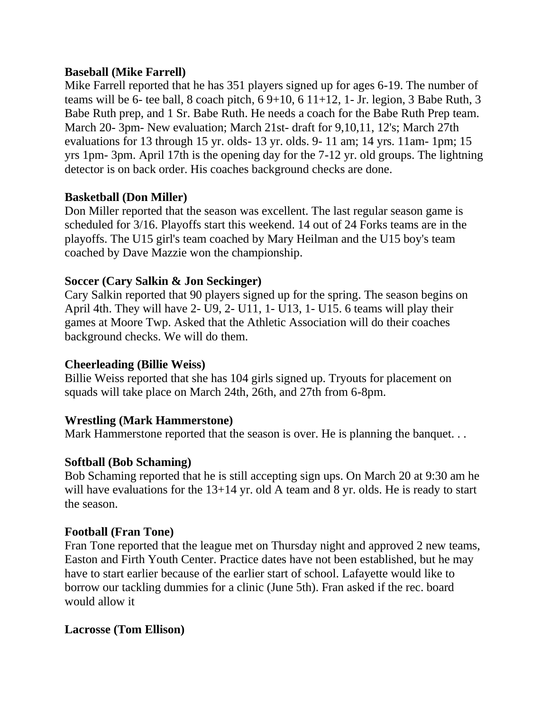#### **Baseball (Mike Farrell)**

Mike Farrell reported that he has 351 players signed up for ages 6-19. The number of teams will be 6- tee ball, 8 coach pitch,  $69+10$ ,  $611+12$ , 1- Jr. legion, 3 Babe Ruth, 3 Babe Ruth prep, and 1 Sr. Babe Ruth. He needs a coach for the Babe Ruth Prep team. March 20- 3pm- New evaluation; March 21st- draft for 9,10,11, 12's; March 27th evaluations for 13 through 15 yr. olds- 13 yr. olds. 9- 11 am; 14 yrs. 11am- 1pm; 15 yrs 1pm- 3pm. April 17th is the opening day for the 7-12 yr. old groups. The lightning detector is on back order. His coaches background checks are done.

#### **Basketball (Don Miller)**

Don Miller reported that the season was excellent. The last regular season game is scheduled for 3/16. Playoffs start this weekend. 14 out of 24 Forks teams are in the playoffs. The U15 girl's team coached by Mary Heilman and the U15 boy's team coached by Dave Mazzie won the championship.

### **Soccer (Cary Salkin & Jon Seckinger)**

Cary Salkin reported that 90 players signed up for the spring. The season begins on April 4th. They will have 2- U9, 2- U11, 1- U13, 1- U15. 6 teams will play their games at Moore Twp. Asked that the Athletic Association will do their coaches background checks. We will do them.

#### **Cheerleading (Billie Weiss)**

Billie Weiss reported that she has 104 girls signed up. Tryouts for placement on squads will take place on March 24th, 26th, and 27th from 6-8pm.

### **Wrestling (Mark Hammerstone)**

Mark Hammerstone reported that the season is over. He is planning the banquet...

### **Softball (Bob Schaming)**

Bob Schaming reported that he is still accepting sign ups. On March 20 at 9:30 am he will have evaluations for the 13+14 yr. old A team and 8 yr. olds. He is ready to start the season.

### **Football (Fran Tone)**

Fran Tone reported that the league met on Thursday night and approved 2 new teams, Easton and Firth Youth Center. Practice dates have not been established, but he may have to start earlier because of the earlier start of school. Lafayette would like to borrow our tackling dummies for a clinic (June 5th). Fran asked if the rec. board would allow it

### **Lacrosse (Tom Ellison)**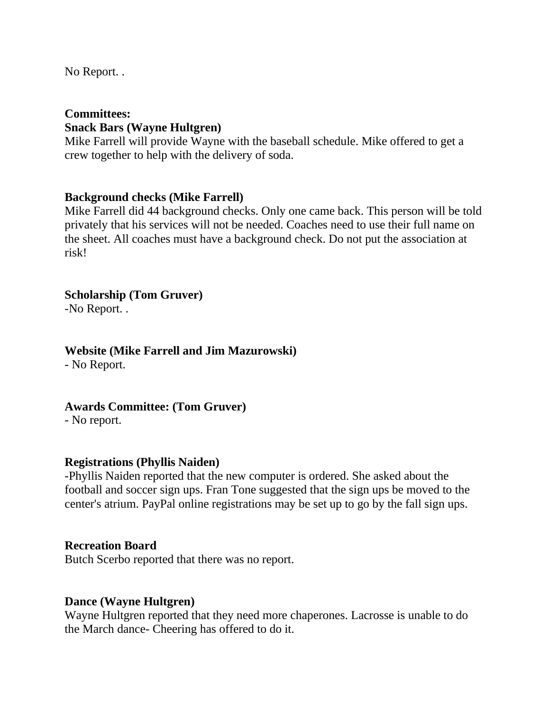No Report. .

## **Committees: Snack Bars (Wayne Hultgren)**

Mike Farrell will provide Wayne with the baseball schedule. Mike offered to get a crew together to help with the delivery of soda.

#### **Background checks (Mike Farrell)**

Mike Farrell did 44 background checks. Only one came back. This person will be told privately that his services will not be needed. Coaches need to use their full name on the sheet. All coaches must have a background check. Do not put the association at risk!

### **Scholarship (Tom Gruver)**

-No Report. .

#### **Website (Mike Farrell and Jim Mazurowski)**

- No Report.

**Awards Committee: (Tom Gruver)**

- No report.

#### **Registrations (Phyllis Naiden)**

-Phyllis Naiden reported that the new computer is ordered. She asked about the football and soccer sign ups. Fran Tone suggested that the sign ups be moved to the center's atrium. PayPal online registrations may be set up to go by the fall sign ups.

#### **Recreation Board**

Butch Scerbo reported that there was no report.

#### **Dance (Wayne Hultgren)**

Wayne Hultgren reported that they need more chaperones. Lacrosse is unable to do the March dance- Cheering has offered to do it.